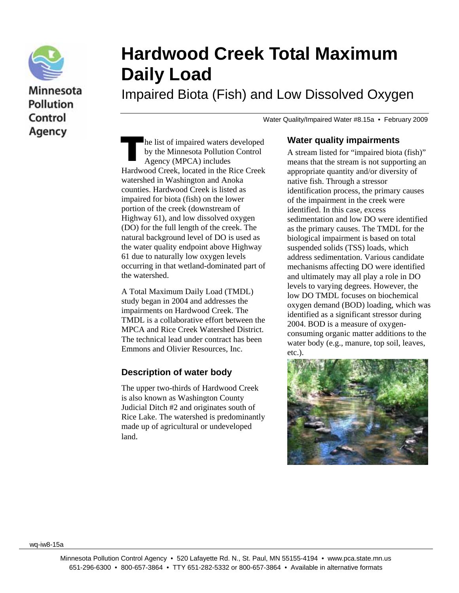

Minnesota **Pollution** Control Agency

# **Hardwood Creek Total Maximum Daily Load**

Impaired Biota (Fish) and Low Dissolved Oxygen

Water Quality/Impaired Water #8.15a • February 2009

he list of impaired waters developed by the Minnesota Pollution Control Agency (MPCA) includes Hardwood Creek, located in the Rice Creek watershed in Washington and Anoka counties. Hardwood Creek is listed as impaired for biota (fish) on the lower portion of the creek (downstream of Highway 61), and low dissolved oxygen (DO) for the full length of the creek. The natural background level of DO is used as the water quality endpoint above Highway 61 due to naturally low oxygen levels occurring in that wetland-dominated part of the watershed. The 1<br>by 1<br>Age

A Total Maximum Daily Load (TMDL) study began in 2004 and addresses the impairments on Hardwood Creek. The TMDL is a collaborative effort between the MPCA and Rice Creek Watershed District. The technical lead under contract has been Emmons and Olivier Resources, Inc.

## **Description of water body**

The upper two-thirds of Hardwood Creek is also known as Washington County Judicial Ditch #2 and originates south of Rice Lake. The watershed is predominantly made up of agricultural or undeveloped land.

#### **Water quality impairments**

A stream listed for "impaired biota (fish)" means that the stream is not supporting an appropriate quantity and/or diversity of native fish. Through a stressor identification process, the primary causes of the impairment in the creek were identified. In this case, excess sedimentation and low DO were identified as the primary causes. The TMDL for the biological impairment is based on total suspended solids (TSS) loads, which address sedimentation. Various candidate mechanisms affecting DO were identified and ultimately may all play a role in DO levels to varying degrees. However, the low DO TMDL focuses on biochemical oxygen demand (BOD) loading, which was identified as a significant stressor during 2004. BOD is a measure of oxygenconsuming organic matter additions to the water body (e.g., manure, top soil, leaves, etc.).



wq-iw8-15a